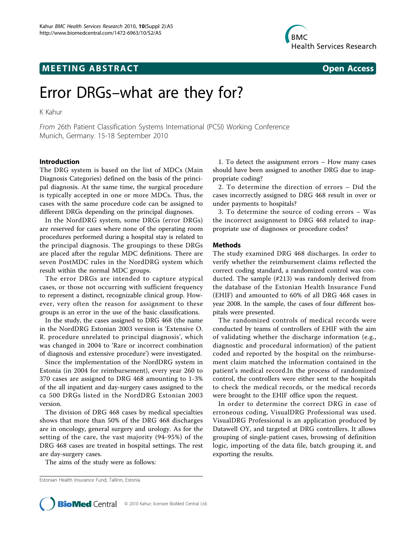# **MEETING ABSTRACT CONSUMING ABSTRACT**



# Error DRGs–what are they for?

K Kahur

From 26th Patient Classification Systems International (PCSI) Working Conference Munich, Germany. 15-18 September 2010

## Introduction

The DRG system is based on the list of MDCs (Main Diagnosis Categories) defined on the basis of the principal diagnosis. At the same time, the surgical procedure is typically accepted in one or more MDCs. Thus, the cases with the same procedure code can be assigned to different DRGs depending on the principal diagnoses.

In the NordDRG system, some DRGs (error DRGs) are reserved for cases where none of the operating room procedures performed during a hospital stay is related to the principal diagnosis. The groupings to these DRGs are placed after the regular MDC definitions. There are seven PostMDC rules in the NordDRG system which result within the normal MDC groups.

The error DRGs are intended to capture atypical cases, or those not occurring with sufficient frequency to represent a distinct, recognizable clinical group. However, very often the reason for assignment to these groups is an error in the use of the basic classifications.

In the study, the cases assigned to DRG 468 (the name in the NordDRG Estonian 2003 version is 'Extensive O. R. procedure unrelated to principal diagnosis', which was changed in 2004 to 'Rare or incorrect combination of diagnosis and extensive procedure') were investigated.

Since the implementation of the NordDRG system in Estonia (in 2004 for reimbursement), every year 260 to 370 cases are assigned to DRG 468 amounting to 1-3% of the all inpatient and day-surgery cases assigned to the ca 500 DRGs listed in the NordDRG Estonian 2003 version.

The division of DRG 468 cases by medical specialties shows that more than 50% of the DRG 468 discharges are in oncology, general surgery and urology. As for the setting of the care, the vast majority (94-95%) of the DRG 468 cases are treated in hospital settings. The rest are day-surgery cases.

The aims of the study were as follows:

Estonian Health Insurance Fund, Tallinn, Estonia



2. To determine the direction of errors – Did the cases incorrectly assigned to DRG 468 result in over or under payments to hospitals?

3. To determine the source of coding errors – Was the incorrect assignment to DRG 468 related to inappropriate use of diagnoses or procedure codes?

#### Methods

The study examined DRG 468 discharges. In order to verify whether the reimbursement claims reflected the correct coding standard, a randomized control was conducted. The sample (#213) was randomly derived from the database of the Estonian Health Insurance Fund (EHIF) and amounted to 60% of all DRG 468 cases in year 2008. In the sample, the cases of four different hospitals were presented.

The randomized controls of medical records were conducted by teams of controllers of EHIF with the aim of validating whether the discharge information (e.g., diagnostic and procedural information) of the patient coded and reported by the hospital on the reimbursement claim matched the information contained in the patient's medical record.In the process of randomized control, the controllers were either sent to the hospitals to check the medical records, or the medical records were brought to the EHIF office upon the request.

In order to determine the correct DRG in case of erroneous coding, VisualDRG Professional was used. VisualDRG Professional is an application produced by Datawell OY, and targeted at DRG controllers. It allows grouping of single-patient cases, browsing of definition logic, importing of the data file, batch grouping it, and exporting the results.